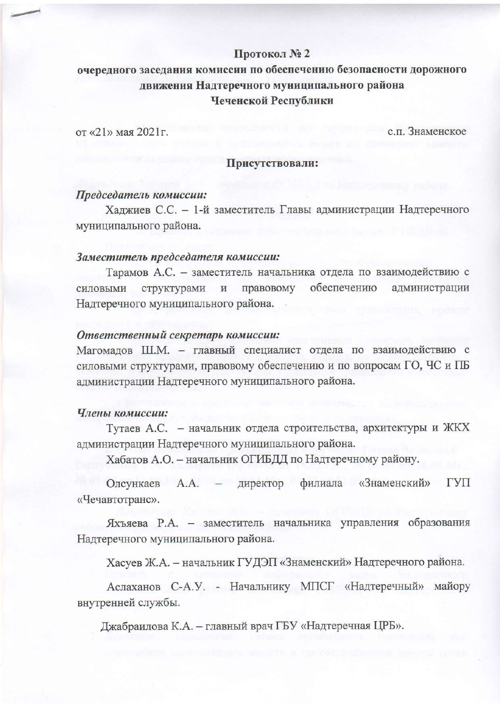# Протокол № 2

# очередного заседания комиссии по обеспечению безопасности дорожного движения Надтеречного муниципального района Чеченской Республики

от «21» мая 2021 г.

с.п. Знаменское

# Присутствовали:

## Председатель комиссии:

Хаджиев С.С. - 1-й заместитель Главы администрации Надтеречного муниципального района.

#### Заместитель председателя комиссии:

Тарамов А.С. - заместитель начальника отдела по взаимодействию с правовому обеспечению администрации силовыми структурами  $\,$  M Надтеречного муниципального района.

#### Ответственный секретарь комиссии:

Магомадов Ш.М. - главный специалист отдела по взаимодействию с силовыми структурами, правовому обеспечению и по вопросам ГО, ЧС и ПБ администрации Надтеречного муниципального района.

## Члены комиссии:

Тутаев А.С. - начальник отдела строительства, архитектуры и ЖКХ администрации Надтеречного муниципального района.

Хабатов А.О. - начальник ОГИБДД по Надтеречному району.

Олсункаев А.А. - директор филиала «Знаменский» ГУП «Чечавтотранс».

Яхъяева Р.А. - заместитель начальника управления образования Надтеречного муниципального района.

Хасуев Ж.А. - начальник ГУДЭП «Знаменский» Надтеречного района.

Аслаханов С-А.У. - Начальнику МПСГ «Надтеречный» майору внутренней службы.

Джабраилова К.А. - главный врач ГБУ «Надтеречная ЦРБ».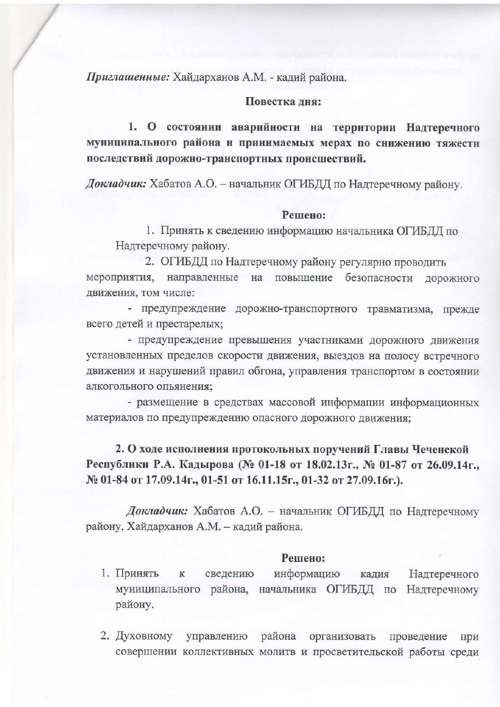Приглашенные: Хайдарханов А.М. - кадий района.

## Повестка дня:

1. О состоянии аварийности на территории Надтеречного муниципального района и принимаемых мерах по снижению тяжести последствий дорожно-транспортных происшествий.

Докладчик: Хабатов А.О. - начальник ОГИБДД по Надтеречному району.

## Решено:

1. Принять к сведению информацию начальника ОГИБДД по Надтеречному району.

2. ОГИБДД по Надтеречному району регулярно проводить направленные на повышение безопасности мероприятия, дорожного движения, том числе:

- предупреждение дорожно-транспортного травматизма, прежде всего детей и престарелых;

- предупреждение превышения участниками дорожного движения установленных пределов скорости движения, выездов на полосу встречного движения и нарушений правил обгона, управления транспортом в состоянии алкогольного опьянения;

- размещение в средствах массовой информации информационных материалов по предупреждению опасного дорожного движения;

2. О ходе исполнения протокольных поручений Главы Чеченской Республики Р.А. Кадырова (№ 01-18 от 18.02.13г., № 01-87 от 26.09.14г., № 01-84 от 17.09.14г., 01-51 от 16.11.15г., 01-32 от 27.09.16г.).

Докладчик: Хабатов А.О. - начальник ОГИБДД по Надтеречному району, Хайдарханов А.М. - кадий района.

# Решено:

- 1. Принять  ${\bf K}$ сведению информацию кадия Надтеречного муниципального района, начальника ОГИБДД по Надтеречному району.
- 2. Духовному управлению района организовать проведение при совершении коллективных молитв и просветительской работы среди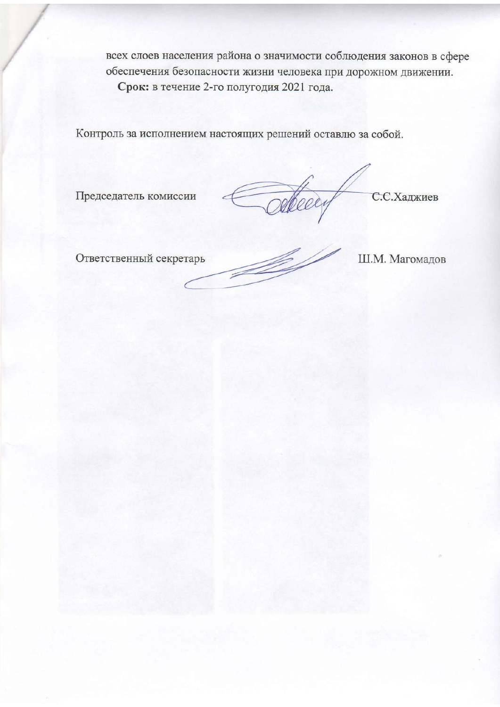всех слоев населения района о значимости соблюдения законов в сфере обеспечения безопасности жизни человека при дорожном движении. Срок: в течение 2-го полугодия 2021 года.

Контроль за исполнением настоящих решений оставлю за собой.

Председатель комиссии

Odbeey C.C.Xanxues

Ответственный секретарь

Í

Ш.М. Магомадов